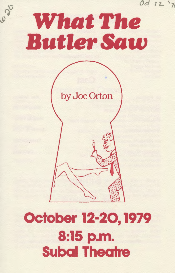

620

by Joe Orton

# October 12·20, 1979 8:15 p.m. **Subal Theatre**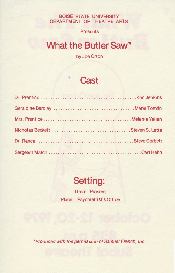BOISE STATE UNIVERSITY DEPARTMENT OF THEATRE ARTS

**Presents** 

# **What the Butler Saw\***

by Joe Orton



### **Setting:**

Time: Present Place: Psychiatrist's Office

\*Produced with the permission of Samuel French, Inc.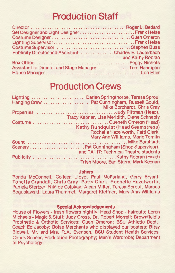# **Production Staff**

| Set Designer and Light Designer Frank Heise            |                                               |
|--------------------------------------------------------|-----------------------------------------------|
|                                                        |                                               |
|                                                        |                                               |
|                                                        |                                               |
| Publicity Director and Assistant Charles E. Lauterbach |                                               |
|                                                        | <b>Example 2.5 And State And Kathy Robran</b> |
|                                                        |                                               |
| Assistant to Director and Stage Manager Tom Hannigan   |                                               |
|                                                        |                                               |

# **Production Crews**

| Lighting Darien Springthorpe, Teresa Sproul                     |
|-----------------------------------------------------------------|
|                                                                 |
| Mike Borchardt, Chris Gray                                      |
| PropertiesJudy Pittman (Head),                                  |
| Tracy Kepner, Lisa Meridith, Diane Schnebly                     |
|                                                                 |
| <b>Kathy Rundquist (Head Seamstress)</b>                        |
| Rochelle Hazelworth, Patti Clark,                               |
| Mary Ann Williams, Marie Tomlin                                 |
|                                                                 |
|                                                                 |
| and TA117: Technical Theatre students                           |
|                                                                 |
| Trish Moore, Earl Starry, Mark Keenan<br><b>CONTRACTOR</b> INC. |

#### **Ushers**

Ronda McConnell, Colleen Lloyd, Paul McFarland, Gerry Bryant, Tonette Crandall, Chris Gray, Patty Clark, Rochelle Hazelworth, Pamela Stertzer, Niki de Csipkay, Aleah Miller, Teresa Sproul, Marcus Boguslawski, Laura Thummel, Margaret Kleffner, Mary Ann Williams

#### **Special Acknowledgements**

House of Flowers - fresh flowers nightly; Head Shop - haircuts; Loren Michaels- Magic & Stuff; Judy Cross, Dr. Robert Morrell; Brownfield's Prosthetic & Orthotic Services; Guen Omeron; BSU Athletic Dept., Coach Ed Jacoby; Boise Merchants who displayed our posters; Bitsy Bidwell, Mr. and Mrs. R.A. Evensen, BSU Student Health Services, Chuck Scheer, Production Photography; Men's Wardrobe; Department of Psychology.